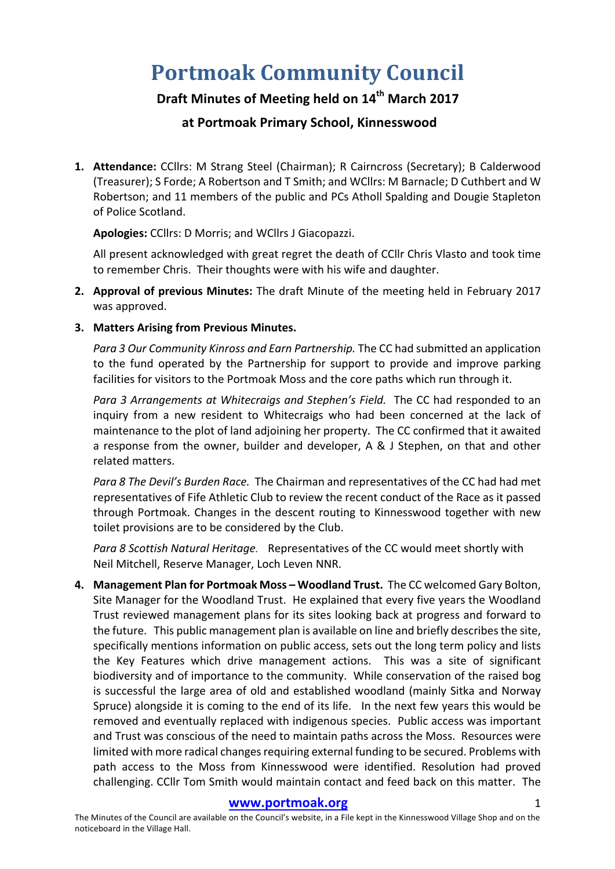# **Portmoak Community Council**

## **Draft Minutes of Meeting held on 14th March 2017**

### **at Portmoak Primary School, Kinnesswood**

1. Attendance: CCllrs: M Strang Steel (Chairman); R Cairncross (Secretary); B Calderwood (Treasurer); S Forde; A Robertson and T Smith; and WCllrs: M Barnacle; D Cuthbert and W Robertson; and 11 members of the public and PCs Atholl Spalding and Dougie Stapleton of Police Scotland.

**Apologies:** CCllrs: D Morris; and WCllrs J Giacopazzi.

All present acknowledged with great regret the death of CCIIr Chris Vlasto and took time to remember Chris. Their thoughts were with his wife and daughter.

- **2. Approval of previous Minutes:** The draft Minute of the meeting held in February 2017 was approved.
- **3. Matters Arising from Previous Minutes.**

Para 3 Our Community Kinross and Earn Partnership. The CC had submitted an application to the fund operated by the Partnership for support to provide and improve parking facilities for visitors to the Portmoak Moss and the core paths which run through it.

*Para 3 Arrangements at Whitecraigs and Stephen's Field.* The CC had responded to an inquiry from a new resident to Whitecraigs who had been concerned at the lack of maintenance to the plot of land adjoining her property. The CC confirmed that it awaited a response from the owner, builder and developer, A & J Stephen, on that and other related matters.

*Para 8 The Devil's Burden Race.* The Chairman and representatives of the CC had had met representatives of Fife Athletic Club to review the recent conduct of the Race as it passed through Portmoak. Changes in the descent routing to Kinnesswood together with new toilet provisions are to be considered by the Club.

*Para 8 Scottish Natural Heritage.* Representatives of the CC would meet shortly with Neil Mitchell, Reserve Manager, Loch Leven NNR.

**4. Management Plan for Portmoak Moss – Woodland Trust.** The CC welcomed Gary Bolton, Site Manager for the Woodland Trust. He explained that every five years the Woodland Trust reviewed management plans for its sites looking back at progress and forward to the future. This public management plan is available on line and briefly describes the site, specifically mentions information on public access, sets out the long term policy and lists the Key Features which drive management actions. This was a site of significant biodiversity and of importance to the community. While conservation of the raised bog is successful the large area of old and established woodland (mainly Sitka and Norway Spruce) alongside it is coming to the end of its life. In the next few vears this would be removed and eventually replaced with indigenous species. Public access was important and Trust was conscious of the need to maintain paths across the Moss. Resources were limited with more radical changes requiring external funding to be secured. Problems with path access to the Moss from Kinnesswood were identified. Resolution had proved challenging. CCllr Tom Smith would maintain contact and feed back on this matter. The

#### www.portmoak.org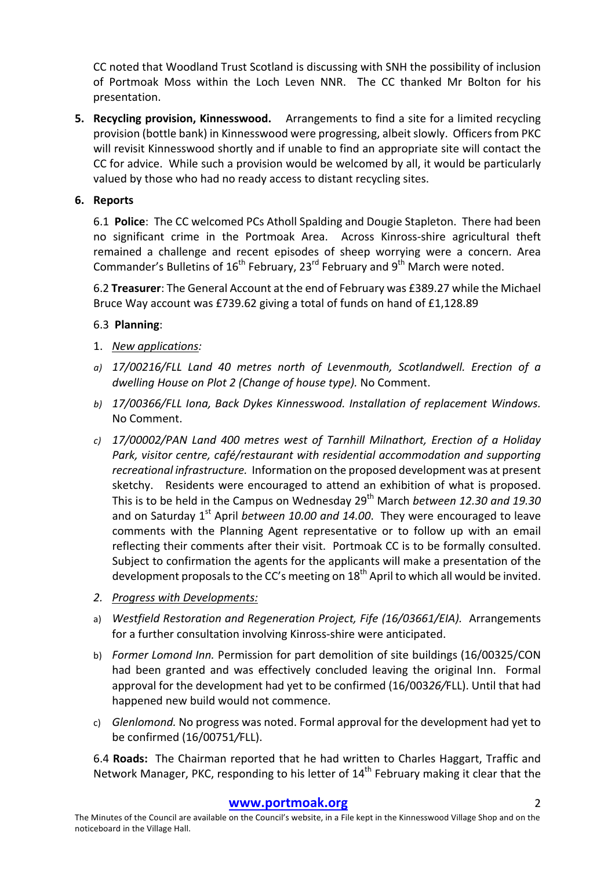CC noted that Woodland Trust Scotland is discussing with SNH the possibility of inclusion of Portmoak Moss within the Loch Leven NNR. The CC thanked Mr Bolton for his presentation.

**5.** Recycling provision, Kinnesswood. Arrangements to find a site for a limited recycling provision (bottle bank) in Kinnesswood were progressing, albeit slowly. Officers from PKC will revisit Kinnesswood shortly and if unable to find an appropriate site will contact the CC for advice. While such a provision would be welcomed by all, it would be particularly valued by those who had no ready access to distant recycling sites.

#### **6. Reports**

6.1 **Police**: The CC welcomed PCs Atholl Spalding and Dougie Stapleton. There had been no significant crime in the Portmoak Area. Across Kinross-shire agricultural theft remained a challenge and recent episodes of sheep worrying were a concern. Area Commander's Bulletins of  $16^{th}$  February, 23<sup>rd</sup> February and  $9^{th}$  March were noted.

6.2 **Treasurer**: The General Account at the end of February was £389.27 while the Michael Bruce Way account was £739.62 giving a total of funds on hand of  $£1,128.89$ 

#### 6.3 **Planning**:

- 1. *New applications:*
- *a) 17/00216/FLL Land 40 metres north of Levenmouth, Scotlandwell. Erection of a dwelling House on Plot 2 (Change of house type).* No Comment.
- b) 17/00366/FLL lona, Back Dykes Kinnesswood. Installation of replacement Windows. No Comment.
- *c) 17/00002/PAN Land 400 metres west of Tarnhill Milnathort, Erection of a Holiday*  Park, visitor centre, café/restaurant with residential accommodation and supporting *recreational infrastructure.* Information on the proposed development was at present sketchy. Residents were encouraged to attend an exhibition of what is proposed. This is to be held in the Campus on Wednesday 29<sup>th</sup> March *between* 12.30 and 19.30 and on Saturday  $1^{st}$  April *between 10.00 and 14.00*. They were encouraged to leave comments with the Planning Agent representative or to follow up with an email reflecting their comments after their visit. Portmoak CC is to be formally consulted. Subject to confirmation the agents for the applicants will make a presentation of the development proposals to the CC's meeting on  $18<sup>th</sup>$  April to which all would be invited.
- *2. Progress with Developments:*
- a) *Westfield Restoration and Regeneration Project, Fife (16/03661/EIA).* Arrangements for a further consultation involving Kinross-shire were anticipated.
- b) *Former Lomond Inn.* Permission for part demolition of site buildings (16/00325/CON had been granted and was effectively concluded leaving the original Inn. Formal approval for the development had yet to be confirmed (16/00326/FLL). Until that had happened new build would not commence.
- c) *Glenlomond.* No progress was noted. Formal approval for the development had yet to be confirmed (16/00751*/*FLL).

6.4 **Roads:** The Chairman reported that he had written to Charles Haggart, Traffic and Network Manager, PKC, responding to his letter of  $14<sup>th</sup>$  February making it clear that the

#### **www.portmoak.org** 2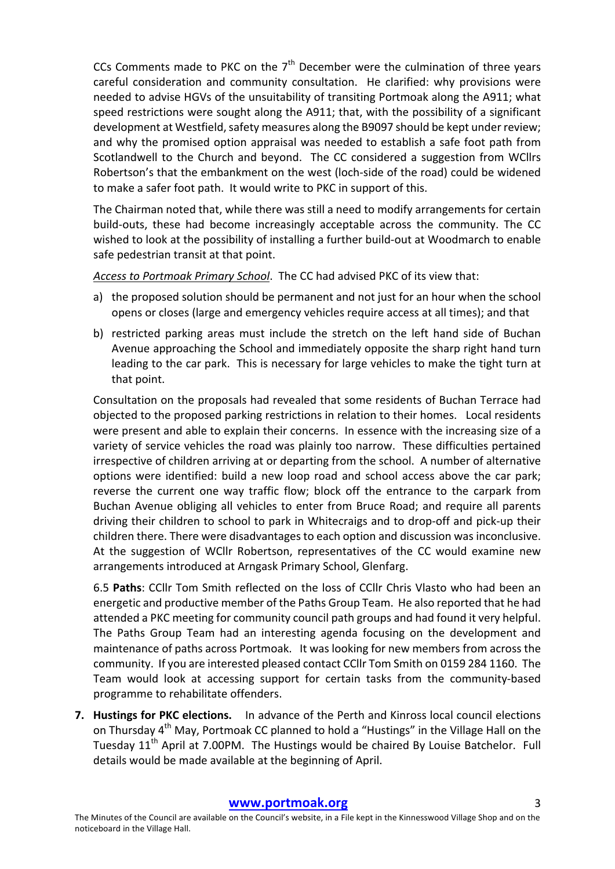CCs Comments made to PKC on the  $7<sup>th</sup>$  December were the culmination of three years careful consideration and community consultation. He clarified: why provisions were needed to advise HGVs of the unsuitability of transiting Portmoak along the A911; what speed restrictions were sought along the A911; that, with the possibility of a significant development at Westfield, safety measures along the B9097 should be kept under review; and why the promised option appraisal was needed to establish a safe foot path from Scotlandwell to the Church and beyond. The CC considered a suggestion from WCllrs Robertson's that the embankment on the west (loch-side of the road) could be widened to make a safer foot path. It would write to PKC in support of this.

The Chairman noted that, while there was still a need to modify arrangements for certain build-outs, these had become increasingly acceptable across the community. The CC wished to look at the possibility of installing a further build-out at Woodmarch to enable safe pedestrian transit at that point.

Access to Portmoak Primary School. The CC had advised PKC of its view that:

- a) the proposed solution should be permanent and not just for an hour when the school opens or closes (large and emergency vehicles require access at all times); and that
- b) restricted parking areas must include the stretch on the left hand side of Buchan Avenue approaching the School and immediately opposite the sharp right hand turn leading to the car park. This is necessary for large vehicles to make the tight turn at that point.

Consultation on the proposals had revealed that some residents of Buchan Terrace had objected to the proposed parking restrictions in relation to their homes. Local residents were present and able to explain their concerns. In essence with the increasing size of a variety of service vehicles the road was plainly too narrow. These difficulties pertained irrespective of children arriving at or departing from the school. A number of alternative options were identified: build a new loop road and school access above the car park; reverse the current one way traffic flow; block off the entrance to the carpark from Buchan Avenue obliging all vehicles to enter from Bruce Road; and require all parents driving their children to school to park in Whitecraigs and to drop-off and pick-up their children there. There were disadvantages to each option and discussion was inconclusive. At the suggestion of WCllr Robertson, representatives of the CC would examine new arrangements introduced at Arngask Primary School, Glenfarg.

6.5 **Paths**: CCllr Tom Smith reflected on the loss of CCllr Chris Vlasto who had been an energetic and productive member of the Paths Group Team. He also reported that he had attended a PKC meeting for community council path groups and had found it very helpful. The Paths Group Team had an interesting agenda focusing on the development and maintenance of paths across Portmoak. It was looking for new members from across the community. If you are interested pleased contact CCllr Tom Smith on 0159 284 1160. The Team would look at accessing support for certain tasks from the community-based programme to rehabilitate offenders.

**7. Hustings for PKC elections.** In advance of the Perth and Kinross local council elections on Thursday  $4^{th}$  May, Portmoak CC planned to hold a "Hustings" in the Village Hall on the Tuesday  $11<sup>th</sup>$  April at 7.00PM. The Hustings would be chaired By Louise Batchelor. Full details would be made available at the beginning of April.